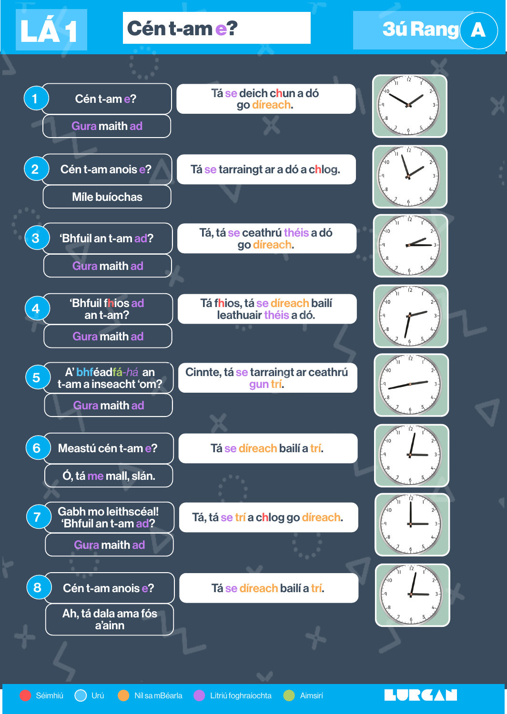